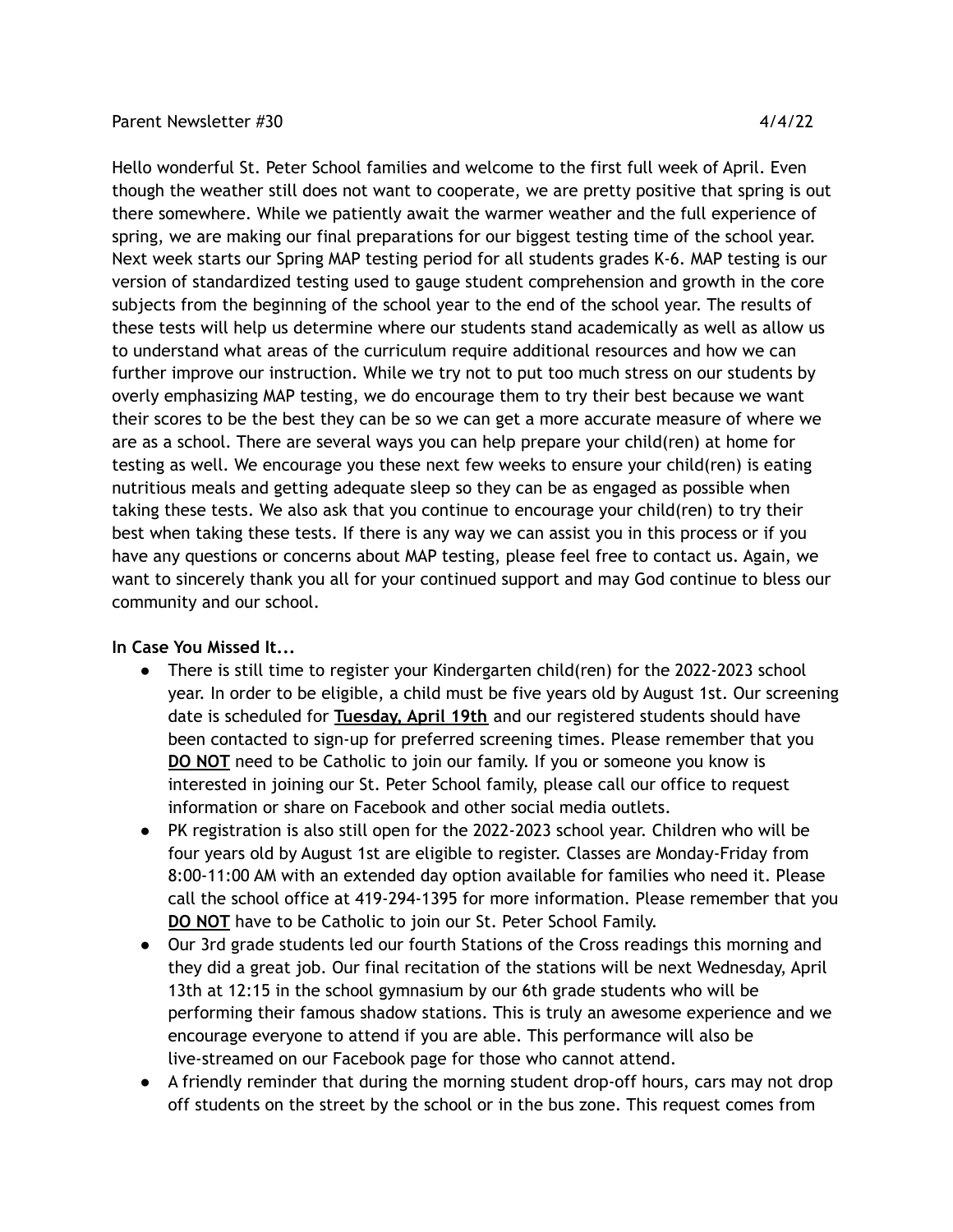## Parent Newsletter #30 4/4/22

Hello wonderful St. Peter School families and welcome to the first full week of April. Even though the weather still does not want to cooperate, we are pretty positive that spring is out there somewhere. While we patiently await the warmer weather and the full experience of spring, we are making our final preparations for our biggest testing time of the school year. Next week starts our Spring MAP testing period for all students grades K-6. MAP testing is our version of standardized testing used to gauge student comprehension and growth in the core subjects from the beginning of the school year to the end of the school year. The results of these tests will help us determine where our students stand academically as well as allow us to understand what areas of the curriculum require additional resources and how we can further improve our instruction. While we try not to put too much stress on our students by overly emphasizing MAP testing, we do encourage them to try their best because we want their scores to be the best they can be so we can get a more accurate measure of where we are as a school. There are several ways you can help prepare your child(ren) at home for testing as well. We encourage you these next few weeks to ensure your child(ren) is eating nutritious meals and getting adequate sleep so they can be as engaged as possible when taking these tests. We also ask that you continue to encourage your child(ren) to try their best when taking these tests. If there is any way we can assist you in this process or if you have any questions or concerns about MAP testing, please feel free to contact us. Again, we want to sincerely thank you all for your continued support and may God continue to bless our community and our school.

## **In Case You Missed It...**

- There is still time to register your Kindergarten child(ren) for the 2022-2023 school year. In order to be eligible, a child must be five years old by August 1st. Our screening date is scheduled for **Tuesday, April 19th** and our registered students should have been contacted to sign-up for preferred screening times. Please remember that you **DO NOT** need to be Catholic to join our family. If you or someone you know is interested in joining our St. Peter School family, please call our office to request information or share on Facebook and other social media outlets.
- PK registration is also still open for the 2022-2023 school year. Children who will be four years old by August 1st are eligible to register. Classes are Monday-Friday from 8:00-11:00 AM with an extended day option available for families who need it. Please call the school office at 419-294-1395 for more information. Please remember that you **DO NOT** have to be Catholic to join our St. Peter School Family.
- Our 3rd grade students led our fourth Stations of the Cross readings this morning and they did a great job. Our final recitation of the stations will be next Wednesday, April 13th at 12:15 in the school gymnasium by our 6th grade students who will be performing their famous shadow stations. This is truly an awesome experience and we encourage everyone to attend if you are able. This performance will also be live-streamed on our Facebook page for those who cannot attend.
- A friendly reminder that during the morning student drop-off hours, cars may not drop off students on the street by the school or in the bus zone. This request comes from